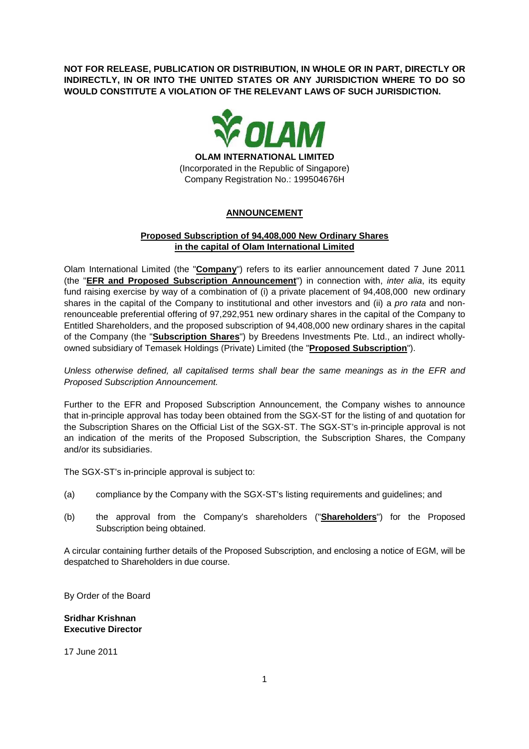**NOT FOR RELEASE, PUBLICATION OR DISTRIBUTION, IN WHOLE OR IN PART, DIRECTLY OR INDIRECTLY, IN OR INTO THE UNITED STATES OR ANY JURISDICTION WHERE TO DO SO WOULD CONSTITUTE A VIOLATION OF THE RELEVANT LAWS OF SUCH JURISDICTION.** 



## **ANNOUNCEMENT**

## **Proposed Subscription of 94,408,000 New Ordinary Shares in the capital of Olam International Limited**

Olam International Limited (the "**Company**") refers to its earlier announcement dated 7 June 2011 (the "**EFR and Proposed Subscription Announcement**") in connection with, inter alia, its equity fund raising exercise by way of a combination of (i) a private placement of 94,408,000 new ordinary shares in the capital of the Company to institutional and other investors and (ii) a pro rata and nonrenounceable preferential offering of 97,292,951 new ordinary shares in the capital of the Company to Entitled Shareholders, and the proposed subscription of 94,408,000 new ordinary shares in the capital of the Company (the "**Subscription Shares**") by Breedens Investments Pte. Ltd., an indirect whollyowned subsidiary of Temasek Holdings (Private) Limited (the "**Proposed Subscription**").

Unless otherwise defined, all capitalised terms shall bear the same meanings as in the EFR and Proposed Subscription Announcement.

Further to the EFR and Proposed Subscription Announcement, the Company wishes to announce that in-principle approval has today been obtained from the SGX-ST for the listing of and quotation for the Subscription Shares on the Official List of the SGX-ST. The SGX-ST's in-principle approval is not an indication of the merits of the Proposed Subscription, the Subscription Shares, the Company and/or its subsidiaries.

The SGX-ST's in-principle approval is subject to:

- (a) compliance by the Company with the SGX-ST's listing requirements and guidelines; and
- (b) the approval from the Company's shareholders ("**Shareholders**") for the Proposed Subscription being obtained.

A circular containing further details of the Proposed Subscription, and enclosing a notice of EGM, will be despatched to Shareholders in due course.

By Order of the Board

**Sridhar Krishnan Executive Director** 

17 June 2011